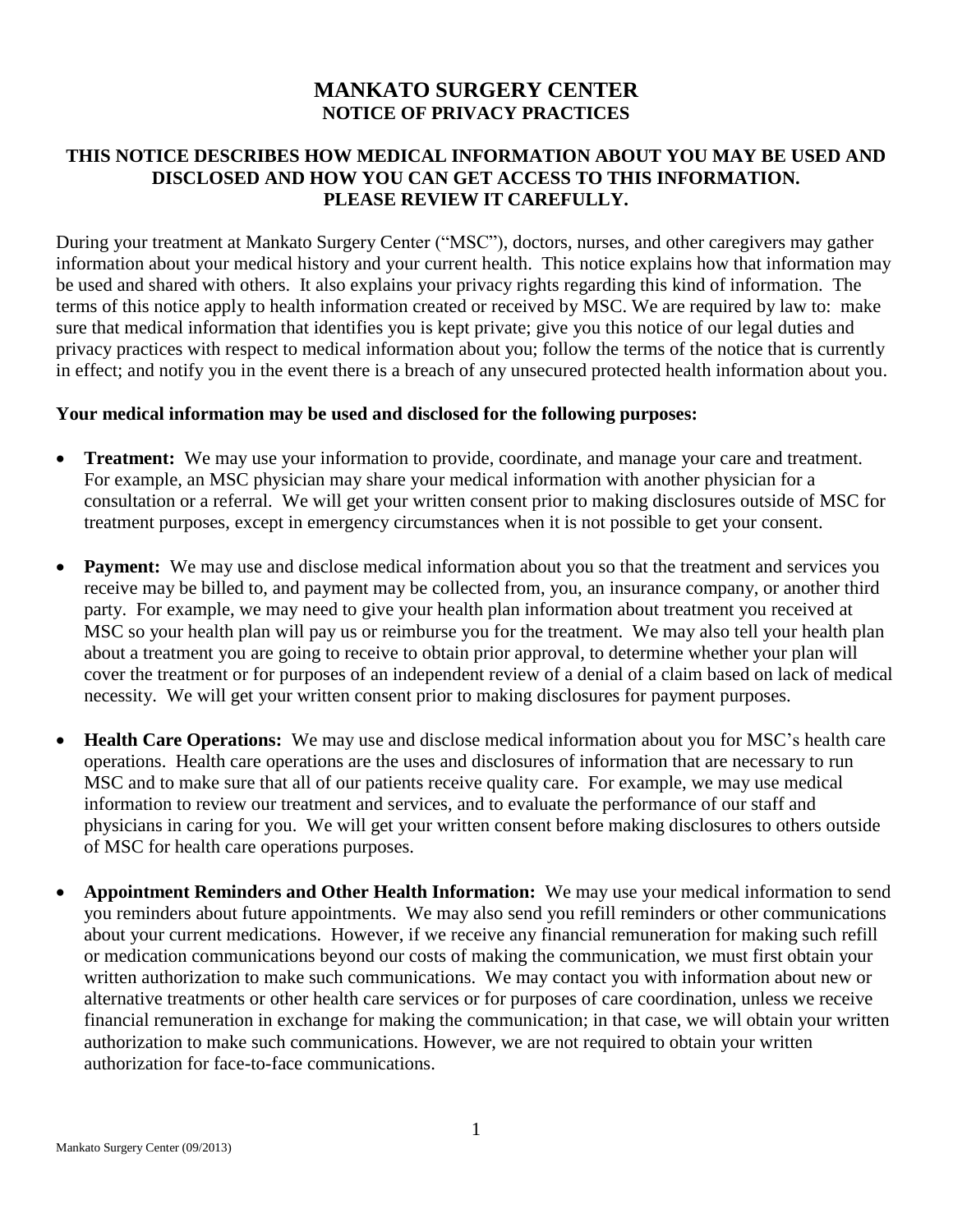# **MANKATO SURGERY CENTER NOTICE OF PRIVACY PRACTICES**

# **THIS NOTICE DESCRIBES HOW MEDICAL INFORMATION ABOUT YOU MAY BE USED AND DISCLOSED AND HOW YOU CAN GET ACCESS TO THIS INFORMATION. PLEASE REVIEW IT CAREFULLY.**

During your treatment at Mankato Surgery Center ("MSC"), doctors, nurses, and other caregivers may gather information about your medical history and your current health. This notice explains how that information may be used and shared with others. It also explains your privacy rights regarding this kind of information. The terms of this notice apply to health information created or received by MSC. We are required by law to: make sure that medical information that identifies you is kept private; give you this notice of our legal duties and privacy practices with respect to medical information about you; follow the terms of the notice that is currently in effect; and notify you in the event there is a breach of any unsecured protected health information about you.

#### **Your medical information may be used and disclosed for the following purposes:**

- **Treatment:** We may use your information to provide, coordinate, and manage your care and treatment. For example, an MSC physician may share your medical information with another physician for a consultation or a referral. We will get your written consent prior to making disclosures outside of MSC for treatment purposes, except in emergency circumstances when it is not possible to get your consent.
- Payment: We may use and disclose medical information about you so that the treatment and services you receive may be billed to, and payment may be collected from, you, an insurance company, or another third party. For example, we may need to give your health plan information about treatment you received at MSC so your health plan will pay us or reimburse you for the treatment. We may also tell your health plan about a treatment you are going to receive to obtain prior approval, to determine whether your plan will cover the treatment or for purposes of an independent review of a denial of a claim based on lack of medical necessity. We will get your written consent prior to making disclosures for payment purposes.
- **Health Care Operations:** We may use and disclose medical information about you for MSC's health care operations. Health care operations are the uses and disclosures of information that are necessary to run MSC and to make sure that all of our patients receive quality care. For example, we may use medical information to review our treatment and services, and to evaluate the performance of our staff and physicians in caring for you. We will get your written consent before making disclosures to others outside of MSC for health care operations purposes.
- **Appointment Reminders and Other Health Information:** We may use your medical information to send you reminders about future appointments. We may also send you refill reminders or other communications about your current medications. However, if we receive any financial remuneration for making such refill or medication communications beyond our costs of making the communication, we must first obtain your written authorization to make such communications. We may contact you with information about new or alternative treatments or other health care services or for purposes of care coordination, unless we receive financial remuneration in exchange for making the communication; in that case, we will obtain your written authorization to make such communications. However, we are not required to obtain your written authorization for face-to-face communications.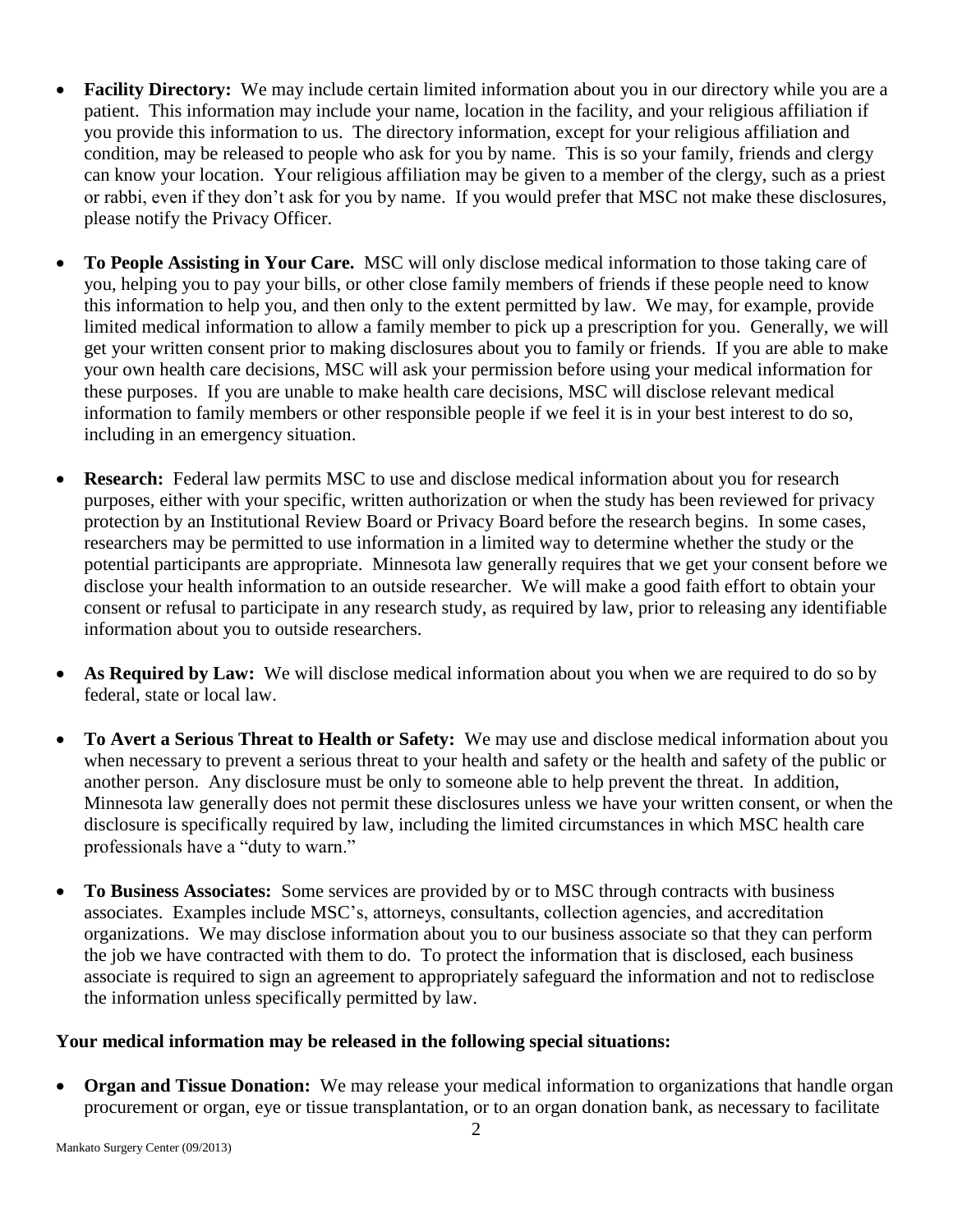- **Facility Directory:** We may include certain limited information about you in our directory while you are a patient. This information may include your name, location in the facility, and your religious affiliation if you provide this information to us. The directory information, except for your religious affiliation and condition, may be released to people who ask for you by name. This is so your family, friends and clergy can know your location. Your religious affiliation may be given to a member of the clergy, such as a priest or rabbi, even if they don't ask for you by name. If you would prefer that MSC not make these disclosures, please notify the Privacy Officer.
- **To People Assisting in Your Care.** MSC will only disclose medical information to those taking care of you, helping you to pay your bills, or other close family members of friends if these people need to know this information to help you, and then only to the extent permitted by law. We may, for example, provide limited medical information to allow a family member to pick up a prescription for you. Generally, we will get your written consent prior to making disclosures about you to family or friends. If you are able to make your own health care decisions, MSC will ask your permission before using your medical information for these purposes. If you are unable to make health care decisions, MSC will disclose relevant medical information to family members or other responsible people if we feel it is in your best interest to do so, including in an emergency situation.
- **Research:** Federal law permits MSC to use and disclose medical information about you for research purposes, either with your specific, written authorization or when the study has been reviewed for privacy protection by an Institutional Review Board or Privacy Board before the research begins. In some cases, researchers may be permitted to use information in a limited way to determine whether the study or the potential participants are appropriate. Minnesota law generally requires that we get your consent before we disclose your health information to an outside researcher. We will make a good faith effort to obtain your consent or refusal to participate in any research study, as required by law, prior to releasing any identifiable information about you to outside researchers.
- **As Required by Law:** We will disclose medical information about you when we are required to do so by federal, state or local law.
- **To Avert a Serious Threat to Health or Safety:** We may use and disclose medical information about you when necessary to prevent a serious threat to your health and safety or the health and safety of the public or another person. Any disclosure must be only to someone able to help prevent the threat. In addition, Minnesota law generally does not permit these disclosures unless we have your written consent, or when the disclosure is specifically required by law, including the limited circumstances in which MSC health care professionals have a "duty to warn."
- **To Business Associates:** Some services are provided by or to MSC through contracts with business associates. Examples include MSC's, attorneys, consultants, collection agencies, and accreditation organizations. We may disclose information about you to our business associate so that they can perform the job we have contracted with them to do. To protect the information that is disclosed, each business associate is required to sign an agreement to appropriately safeguard the information and not to redisclose the information unless specifically permitted by law.

### **Your medical information may be released in the following special situations:**

 **Organ and Tissue Donation:** We may release your medical information to organizations that handle organ procurement or organ, eye or tissue transplantation, or to an organ donation bank, as necessary to facilitate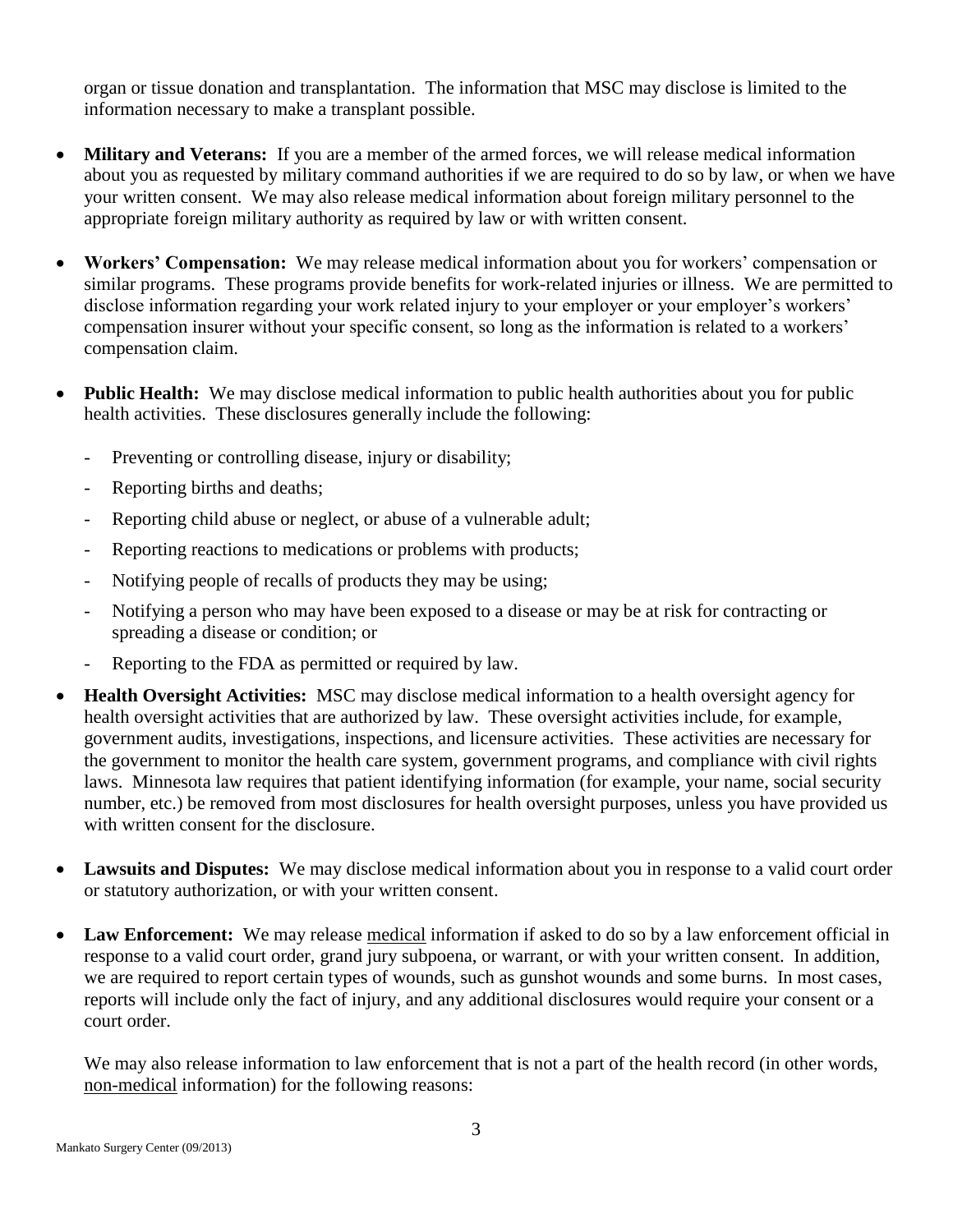organ or tissue donation and transplantation. The information that MSC may disclose is limited to the information necessary to make a transplant possible.

- **Military and Veterans:** If you are a member of the armed forces, we will release medical information about you as requested by military command authorities if we are required to do so by law, or when we have your written consent. We may also release medical information about foreign military personnel to the appropriate foreign military authority as required by law or with written consent.
- **Workers' Compensation:** We may release medical information about you for workers' compensation or similar programs. These programs provide benefits for work-related injuries or illness. We are permitted to disclose information regarding your work related injury to your employer or your employer's workers' compensation insurer without your specific consent, so long as the information is related to a workers' compensation claim.
- **Public Health:** We may disclose medical information to public health authorities about you for public health activities. These disclosures generally include the following:
	- Preventing or controlling disease, injury or disability;
	- Reporting births and deaths;
	- Reporting child abuse or neglect, or abuse of a vulnerable adult;
	- Reporting reactions to medications or problems with products;
	- Notifying people of recalls of products they may be using;
	- Notifying a person who may have been exposed to a disease or may be at risk for contracting or spreading a disease or condition; or
	- Reporting to the FDA as permitted or required by law.
- **Health Oversight Activities:** MSC may disclose medical information to a health oversight agency for health oversight activities that are authorized by law. These oversight activities include, for example, government audits, investigations, inspections, and licensure activities. These activities are necessary for the government to monitor the health care system, government programs, and compliance with civil rights laws. Minnesota law requires that patient identifying information (for example, your name, social security number, etc.) be removed from most disclosures for health oversight purposes, unless you have provided us with written consent for the disclosure.
- **Lawsuits and Disputes:** We may disclose medical information about you in response to a valid court order or statutory authorization, or with your written consent.
- Law Enforcement: We may release medical information if asked to do so by a law enforcement official in response to a valid court order, grand jury subpoena, or warrant, or with your written consent. In addition, we are required to report certain types of wounds, such as gunshot wounds and some burns. In most cases, reports will include only the fact of injury, and any additional disclosures would require your consent or a court order.

We may also release information to law enforcement that is not a part of the health record (in other words, non-medical information) for the following reasons: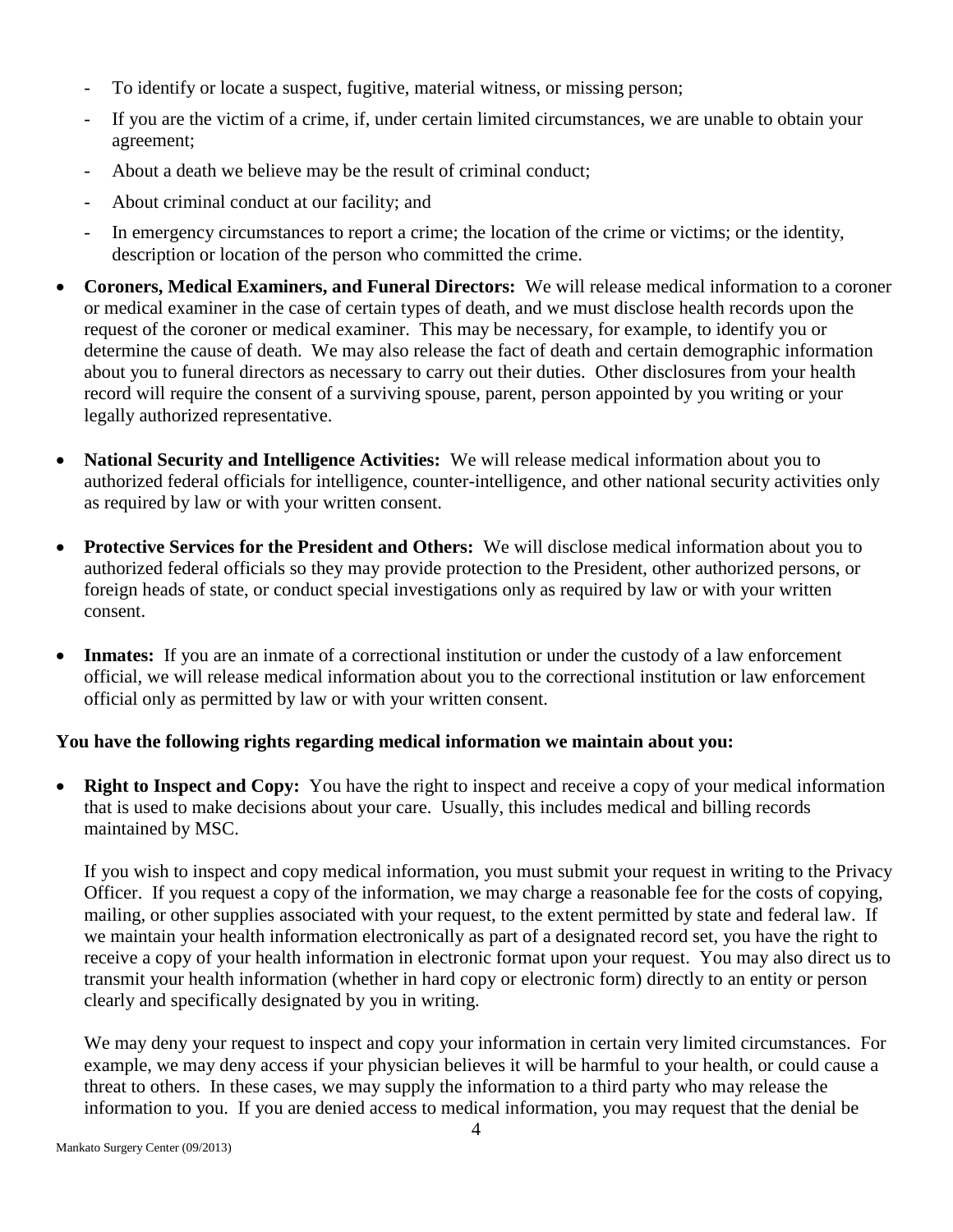- To identify or locate a suspect, fugitive, material witness, or missing person;
- If you are the victim of a crime, if, under certain limited circumstances, we are unable to obtain your agreement;
- About a death we believe may be the result of criminal conduct;
- About criminal conduct at our facility; and
- In emergency circumstances to report a crime; the location of the crime or victims; or the identity, description or location of the person who committed the crime.
- **Coroners, Medical Examiners, and Funeral Directors:** We will release medical information to a coroner or medical examiner in the case of certain types of death, and we must disclose health records upon the request of the coroner or medical examiner. This may be necessary, for example, to identify you or determine the cause of death. We may also release the fact of death and certain demographic information about you to funeral directors as necessary to carry out their duties. Other disclosures from your health record will require the consent of a surviving spouse, parent, person appointed by you writing or your legally authorized representative.
- **National Security and Intelligence Activities:** We will release medical information about you to authorized federal officials for intelligence, counter-intelligence, and other national security activities only as required by law or with your written consent.
- **Protective Services for the President and Others:** We will disclose medical information about you to authorized federal officials so they may provide protection to the President, other authorized persons, or foreign heads of state, or conduct special investigations only as required by law or with your written consent.
- **Inmates:** If you are an inmate of a correctional institution or under the custody of a law enforcement official, we will release medical information about you to the correctional institution or law enforcement official only as permitted by law or with your written consent.

### **You have the following rights regarding medical information we maintain about you:**

 **Right to Inspect and Copy:** You have the right to inspect and receive a copy of your medical information that is used to make decisions about your care. Usually, this includes medical and billing records maintained by MSC.

If you wish to inspect and copy medical information, you must submit your request in writing to the Privacy Officer. If you request a copy of the information, we may charge a reasonable fee for the costs of copying, mailing, or other supplies associated with your request, to the extent permitted by state and federal law. If we maintain your health information electronically as part of a designated record set, you have the right to receive a copy of your health information in electronic format upon your request. You may also direct us to transmit your health information (whether in hard copy or electronic form) directly to an entity or person clearly and specifically designated by you in writing.

We may deny your request to inspect and copy your information in certain very limited circumstances. For example, we may deny access if your physician believes it will be harmful to your health, or could cause a threat to others. In these cases, we may supply the information to a third party who may release the information to you. If you are denied access to medical information, you may request that the denial be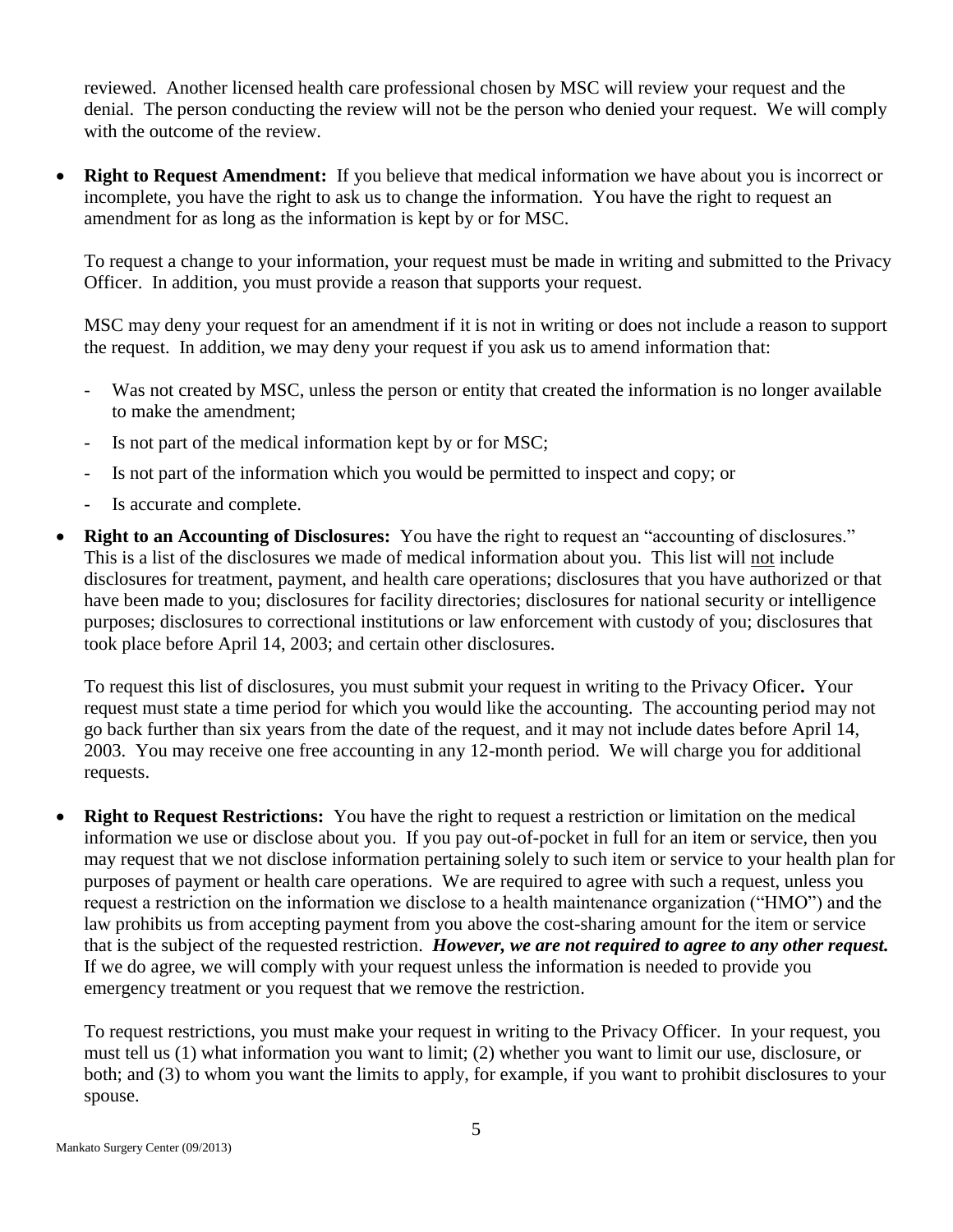reviewed. Another licensed health care professional chosen by MSC will review your request and the denial. The person conducting the review will not be the person who denied your request. We will comply with the outcome of the review.

 **Right to Request Amendment:** If you believe that medical information we have about you is incorrect or incomplete, you have the right to ask us to change the information. You have the right to request an amendment for as long as the information is kept by or for MSC.

To request a change to your information, your request must be made in writing and submitted to the Privacy Officer. In addition, you must provide a reason that supports your request.

MSC may deny your request for an amendment if it is not in writing or does not include a reason to support the request. In addition, we may deny your request if you ask us to amend information that:

- Was not created by MSC, unless the person or entity that created the information is no longer available to make the amendment;
- Is not part of the medical information kept by or for MSC;
- Is not part of the information which you would be permitted to inspect and copy; or
- Is accurate and complete.
- **Right to an Accounting of Disclosures:** You have the right to request an "accounting of disclosures." This is a list of the disclosures we made of medical information about you. This list will not include disclosures for treatment, payment, and health care operations; disclosures that you have authorized or that have been made to you; disclosures for facility directories; disclosures for national security or intelligence purposes; disclosures to correctional institutions or law enforcement with custody of you; disclosures that took place before April 14, 2003; and certain other disclosures.

To request this list of disclosures, you must submit your request in writing to the Privacy Oficer**.** Your request must state a time period for which you would like the accounting. The accounting period may not go back further than six years from the date of the request, and it may not include dates before April 14, 2003. You may receive one free accounting in any 12-month period. We will charge you for additional requests.

 **Right to Request Restrictions:** You have the right to request a restriction or limitation on the medical information we use or disclose about you. If you pay out-of-pocket in full for an item or service, then you may request that we not disclose information pertaining solely to such item or service to your health plan for purposes of payment or health care operations. We are required to agree with such a request, unless you request a restriction on the information we disclose to a health maintenance organization ("HMO") and the law prohibits us from accepting payment from you above the cost-sharing amount for the item or service that is the subject of the requested restriction. *However, we are not required to agree to any other request.* If we do agree, we will comply with your request unless the information is needed to provide you emergency treatment or you request that we remove the restriction.

To request restrictions, you must make your request in writing to the Privacy Officer. In your request, you must tell us (1) what information you want to limit; (2) whether you want to limit our use, disclosure, or both; and (3) to whom you want the limits to apply, for example, if you want to prohibit disclosures to your spouse.